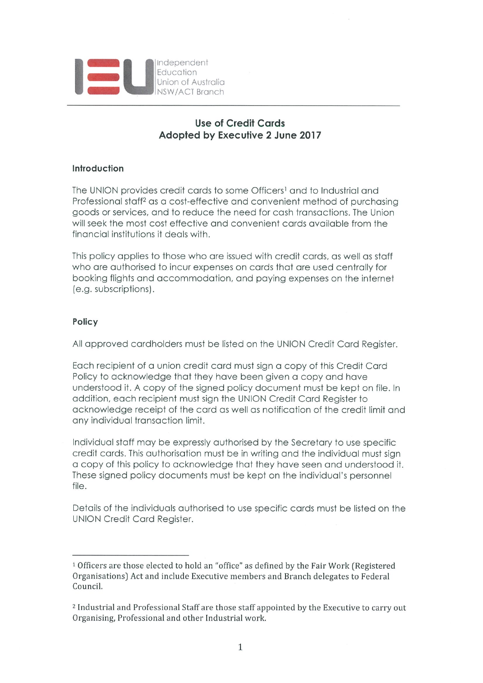

# Use of Credit Cards Adopted by Executive 2 June 2017

## Introduction

The UNION provides credit cards to some Officers<sup>1</sup> and to Industrial and Professional staff<sup>2</sup> as a cost-effective and convenient method of purchasing goods or services, and to reduce the need for cash transactions. The Union will seek the most cost effective and convenient cards available from the finonciol institutions it deols with.

This policy applies to those who are issued with credit cards, as well as staff who are authorised to incur expenses on cards that are used centrally for booking flights and accommodation, and paying expenses on the internet (e.g. subscriptions).

## Policy

All approved cardholders must be listed on the UNION Credit Card Register.

Each recipient of a union credit card must sign a copy of this Credit Card Policy to acknowledge that they have been given a copy and have understood it. A copy of the signed policy document must be kept on file. In oddifion, eoch recipient must sign the UNION Credit Cord Register to acknowledge receipt of the card as well as notification of the credit limit and any individual transaction limit.

Individual staff may be expressly authorised by the Secretary to use specific credit cards. This authorisation must be in writing and the individual must sign o COPY of this policy to ocknowledge fhof they hove seen Grid understood it. These signed policy documents must be kept on the individual's personnel file.

Details of the individuals authorised to use specific cards must be listed on the UNION Credit Cord Register,

<sup>&</sup>lt;sup>1</sup> Officers are those elected to hold an "office" as defined by the Fair Work (Registered Organisations} Act and include Executive members and Branch delegates to Federal Council.

<sup>&</sup>lt;sup>2</sup> Industrial and Professional Staff are those staff appointed by the Executive to carry out Organising, Professional and other Industrial work.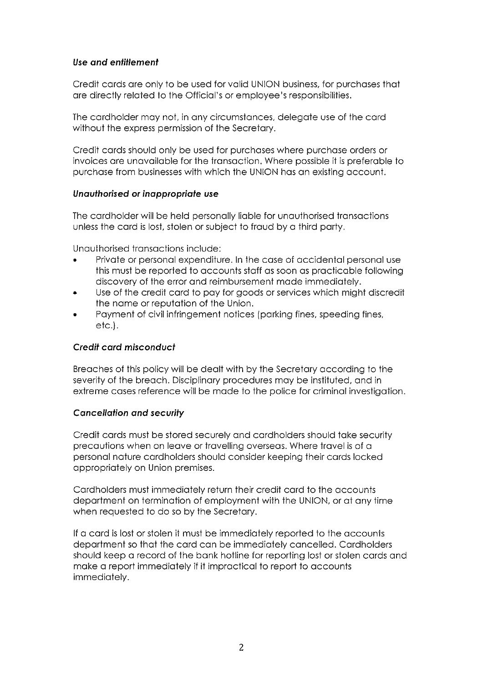## Use and enfiflement

Credit cords ore only to be used for volid UNION business, for purehoses fhot ore directly reloted to the Officiol's or employee's responsibilities,

The cardholder may not, in any circumstances, delegate use of the card without the express permission of the Secretary.

Credit cords should only be used for purehoses where purchose orders or invoices ore unovoiloble for the fronsocfion. Where possible if is preferoble to purehose from businesses with which the UNION hos on existing occount.

### Unauthorised or inappropriate use

The cardholder will be held personally liable for unauthorised transactions unless the cord is lost, stolen or subject to froud by o third porty.

Unauthorised transactions include:

- Private or personal expenditure. In the case of accidental personal use this must be reported to accounts staff as soon as practicable following discovery of the error and reimbursement made immediately.
- , Use of the credit cord to poy for goods or services which might discredit the nome or reputotion of the Union.
- Payment of civil infringement notices (parking fines, speeding fines, etc.).

### Credif cord misconducf

Breaches of this policy will be dealt with by the Secretary according to the severity of the breach. Disciplinary procedures may be instituted, and in extreme coses reference will be mode to the police for criminol investigotion.

### **Cancellation and security**

Credit cards must be stored securely and cardholders should take security precautions when on leave or travelling overseas. Where travel is of a personal nature cardholders should consider keeping their cards locked appropriately on Union premises.

Cardholders must immediately return their credit card to the accounts department on termination of employment with the UNION, or at any time when requested to do so by the Secretary.

If a card is lost or stolen it must be immediately reported to the accounts department so that the card can be immediately cancelled. Cardholders should keep a record of the bank hotline for reporting lost or stolen cards and make a report immediately if it impractical to report to accounts immediately.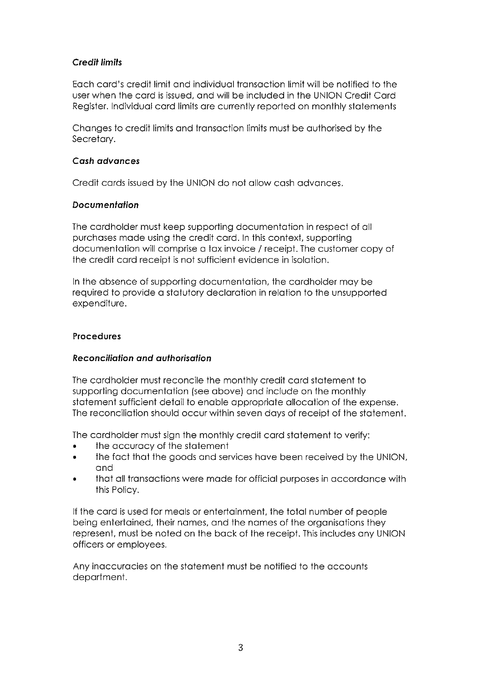## Credit limits

Each card's credit limit and individual transaction limit will be notified to the user when the card is issued, and will be included in the UNION Credit Card Register. Individuol cord limits ore currently reported on monthly slotements

Changes to credit limits and transaction limits must be authorised by the Secretary.

### Cosh advonces

Credit cards issued by the UNION do not allow cash advances.

## **Documentation**

The cardholder must keep supporting documentation in respect of all purehoses mode using the credit cord. In this context, supporting documentation will comprise a tax invoice / receipt. The customer copy of the credit card receipt is not sufficient evidence in isolation.

In the absence of supporting documentation, the cardholder may be required to provide a statutory declaration in relation to the unsupported expenditure,

## Procedures

## Reconciliofion and aufhorisofion

The cardholder must reconcile the monthly credit card statement to supporting documentation (see above) and include on the monthly statement sufficient detail to enable appropriate allocation of the expense. The reconciliation should occur within seven days of receipt of the statement.

The cordholder must sign the monthly credit cord stofemenf to verify:

- the accuracy of the statement<br>• the fact that the goods and ser
- the fact that the goods and services have been received by the UNION, and
- Ithat all transactions were made for official purposes in accordance with this Policy.

If the card is used for meals or entertainment, the total number of people being entertained, their names, and the names of the organisations they represent, must be noted on the back of the receipt. This includes any UNION officers or employees.

Any in accuracies on the statement must be notified to the accounts department.